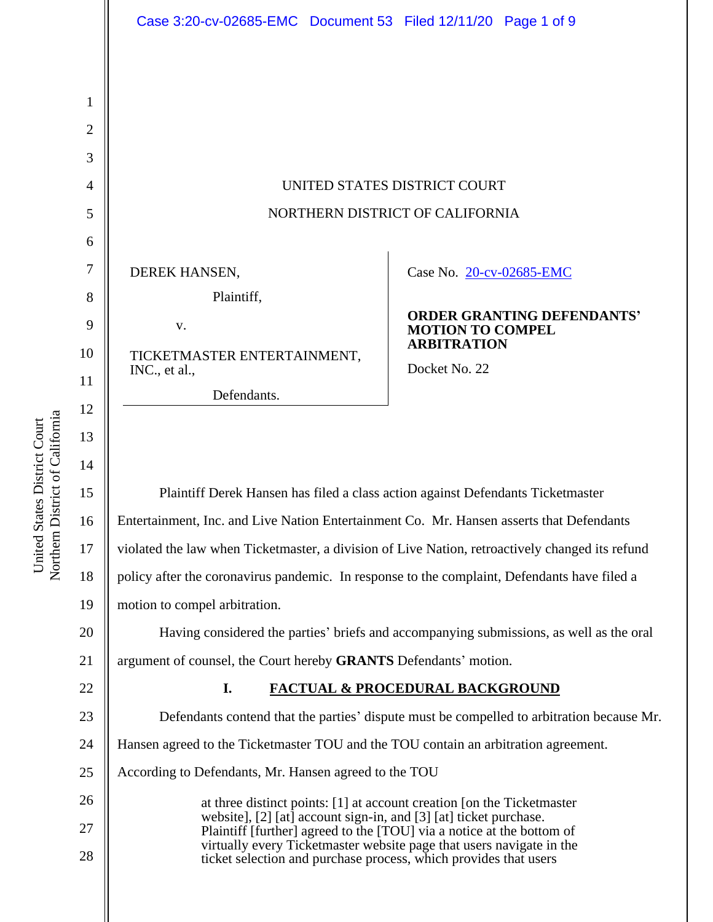|                | Case 3:20-cv-02685-EMC Document 53 Filed 12/11/20 Page 1 of 9                                                                                 |                                                              |
|----------------|-----------------------------------------------------------------------------------------------------------------------------------------------|--------------------------------------------------------------|
|                |                                                                                                                                               |                                                              |
| 1              |                                                                                                                                               |                                                              |
| $\overline{2}$ |                                                                                                                                               |                                                              |
| 3              |                                                                                                                                               |                                                              |
| 4              | UNITED STATES DISTRICT COURT                                                                                                                  |                                                              |
| 5              | NORTHERN DISTRICT OF CALIFORNIA                                                                                                               |                                                              |
| 6              |                                                                                                                                               |                                                              |
| 7              | DEREK HANSEN,                                                                                                                                 | Case No. 20-cv-02685-EMC                                     |
| 8              | Plaintiff,                                                                                                                                    |                                                              |
| 9              | V.                                                                                                                                            | <b>ORDER GRANTING DEFENDANTS'</b><br><b>MOTION TO COMPEL</b> |
| 10             | TICKETMASTER ENTERTAINMENT,                                                                                                                   | <b>ARBITRATION</b>                                           |
| 11             | INC., et al.,<br>Defendants.                                                                                                                  | Docket No. 22                                                |
| 12             |                                                                                                                                               |                                                              |
| 13             |                                                                                                                                               |                                                              |
| 14             |                                                                                                                                               |                                                              |
| 15             | Plaintiff Derek Hansen has filed a class action against Defendants Ticketmaster                                                               |                                                              |
| 16             | Entertainment, Inc. and Live Nation Entertainment Co. Mr. Hansen asserts that Defendants                                                      |                                                              |
| 17             | violated the law when Ticketmaster, a division of Live Nation, retroactively changed its refund                                               |                                                              |
| 18             | policy after the coronavirus pandemic. In response to the complaint, Defendants have filed a                                                  |                                                              |
| 19             | motion to compel arbitration.                                                                                                                 |                                                              |
| 20             | Having considered the parties' briefs and accompanying submissions, as well as the oral                                                       |                                                              |
| 21             | argument of counsel, the Court hereby GRANTS Defendants' motion.                                                                              |                                                              |
| 22             | I.<br><b>FACTUAL &amp; PROCEDURAL BACKGROUND</b>                                                                                              |                                                              |
| 23             | Defendants contend that the parties' dispute must be compelled to arbitration because Mr.                                                     |                                                              |
| 24             | Hansen agreed to the Ticketmaster TOU and the TOU contain an arbitration agreement.                                                           |                                                              |
| 25             | According to Defendants, Mr. Hansen agreed to the TOU                                                                                         |                                                              |
| 26             | at three distinct points: [1] at account creation [on the Ticketmaster<br>website], [2] [at] account sign-in, and [3] [at] ticket purchase.   |                                                              |
| 27             | Plaintiff [further] agreed to the [TOU] via a notice at the bottom of<br>virtually every Ticketmaster website page that users navigate in the |                                                              |
| 28             | ticket selection and purchase process, which provides that users                                                                              |                                                              |
|                |                                                                                                                                               |                                                              |
|                |                                                                                                                                               |                                                              |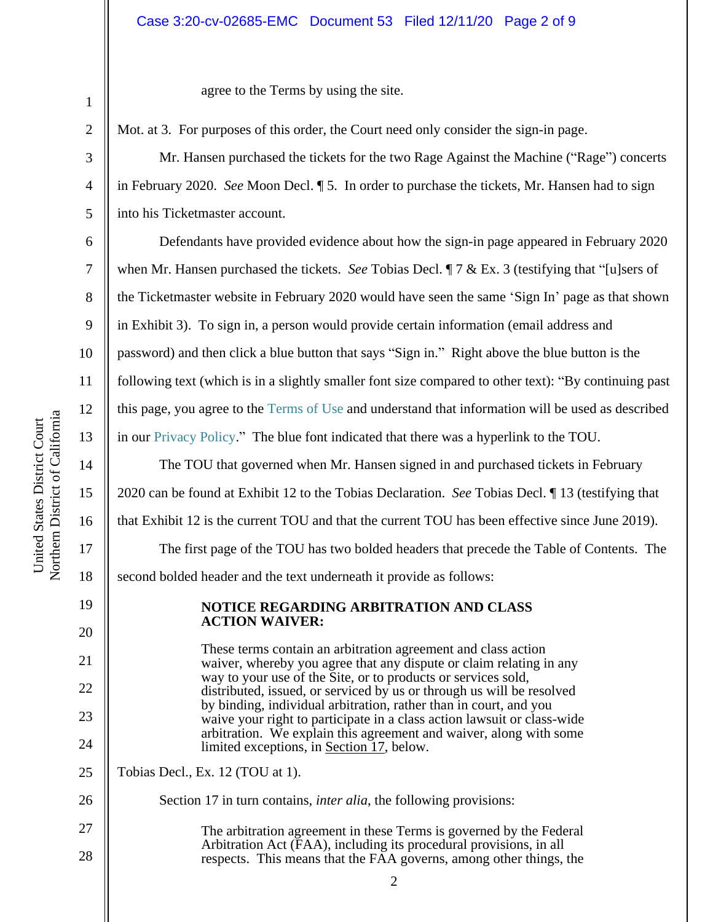### Case 3:20-cv-02685-EMC Document 53 Filed 12/11/20 Page 2 of 9

agree to the Terms by using the site.

Mot. at 3. For purposes of this order, the Court need only consider the sign-in page.

Mr. Hansen purchased the tickets for the two Rage Against the Machine ("Rage") concerts in February 2020. *See* Moon Decl. ¶ 5. In order to purchase the tickets, Mr. Hansen had to sign into his Ticketmaster account.

Defendants have provided evidence about how the sign-in page appeared in February 2020 when Mr. Hansen purchased the tickets. *See* Tobias Decl. ¶ 7 & Ex. 3 (testifying that "[u]sers of the Ticketmaster website in February 2020 would have seen the same 'Sign In' page as that shown in Exhibit 3). To sign in, a person would provide certain information (email address and password) and then click a blue button that says "Sign in." Right above the blue button is the following text (which is in a slightly smaller font size compared to other text): "By continuing past this page, you agree to the Terms of Use and understand that information will be used as described in our Privacy Policy." The blue font indicated that there was a hyperlink to the TOU.

The TOU that governed when Mr. Hansen signed in and purchased tickets in February 2020 can be found at Exhibit 12 to the Tobias Declaration. *See* Tobias Decl. ¶ 13 (testifying that that Exhibit 12 is the current TOU and that the current TOU has been effective since June 2019). The first page of the TOU has two bolded headers that precede the Table of Contents. The second bolded header and the text underneath it provide as follows:

## **NOTICE REGARDING ARBITRATION AND CLASS ACTION WAIVER:**

These terms contain an arbitration agreement and class action waiver, whereby you agree that any dispute or claim relating in any way to your use of the Site, or to products or services sold, distributed, issued, or serviced by us or through us will be resolved by binding, individual arbitration, rather than in court, and you waive your right to participate in a class action lawsuit or class-wide arbitration. We explain this agreement and waiver, along with some limited exceptions, in Section 17, below.

25 Tobias Decl., Ex. 12 (TOU at 1).

Section 17 in turn contains, *inter alia*, the following provisions:

27 28 The arbitration agreement in these Terms is governed by the Federal Arbitration Act (FAA), including its procedural provisions, in all respects. This means that the FAA governs, among other things, the

1

2

3

4

5

6

7

8

9

10

11

12

13

14

15

16

17

18

19

20

21

22

23

24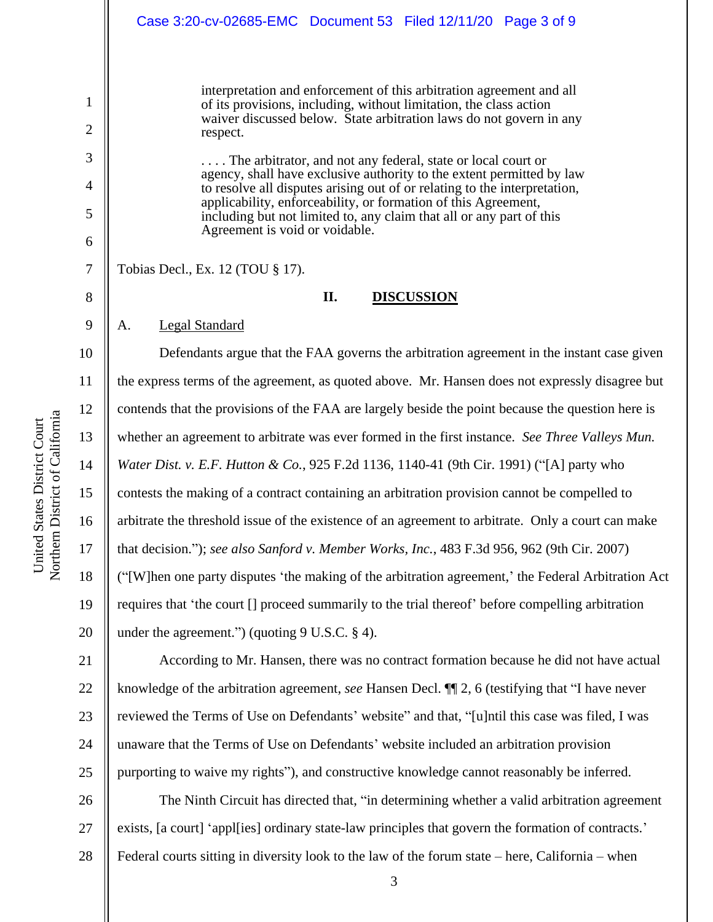1 2 3 4 5 6 7 8 9 10 11 12 13 14 15 16 17 18 19 20 21 22 interpretation and enforcement of this arbitration agreement and all of its provisions, including, without limitation, the class action waiver discussed below. State arbitration laws do not govern in any respect. . . . . The arbitrator, and not any federal, state or local court or agency, shall have exclusive authority to the extent permitted by law to resolve all disputes arising out of or relating to the interpretation, applicability, enforceability, or formation of this Agreement, including but not limited to, any claim that all or any part of this Agreement is void or voidable. Tobias Decl., Ex. 12 (TOU § 17). **II. DISCUSSION** A. Legal Standard Defendants argue that the FAA governs the arbitration agreement in the instant case given the express terms of the agreement, as quoted above. Mr. Hansen does not expressly disagree but contends that the provisions of the FAA are largely beside the point because the question here is whether an agreement to arbitrate was ever formed in the first instance. *See Three Valleys Mun. Water Dist. v. E.F. Hutton & Co.*, 925 F.2d 1136, 1140-41 (9th Cir. 1991) ("[A] party who contests the making of a contract containing an arbitration provision cannot be compelled to arbitrate the threshold issue of the existence of an agreement to arbitrate. Only a court can make that decision."); *see also Sanford v. Member Works, Inc.*, 483 F.3d 956, 962 (9th Cir. 2007) ("[W]hen one party disputes 'the making of the arbitration agreement,' the Federal Arbitration Act requires that 'the court [] proceed summarily to the trial thereof' before compelling arbitration under the agreement.") (quoting 9 U.S.C. § 4). According to Mr. Hansen, there was no contract formation because he did not have actual knowledge of the arbitration agreement, *see* Hansen Decl. ¶¶ 2, 6 (testifying that "I have never Case 3:20-cv-02685-EMC Document 53 Filed 12/11/20 Page 3 of 9

reviewed the Terms of Use on Defendants' website" and that, "[u]ntil this case was filed, I was unaware that the Terms of Use on Defendants' website included an arbitration provision purporting to waive my rights"), and constructive knowledge cannot reasonably be inferred.

26 27 28 The Ninth Circuit has directed that, "in determining whether a valid arbitration agreement exists, [a court] 'appl[ies] ordinary state-law principles that govern the formation of contracts.' Federal courts sitting in diversity look to the law of the forum state – here, California – when

23

24

25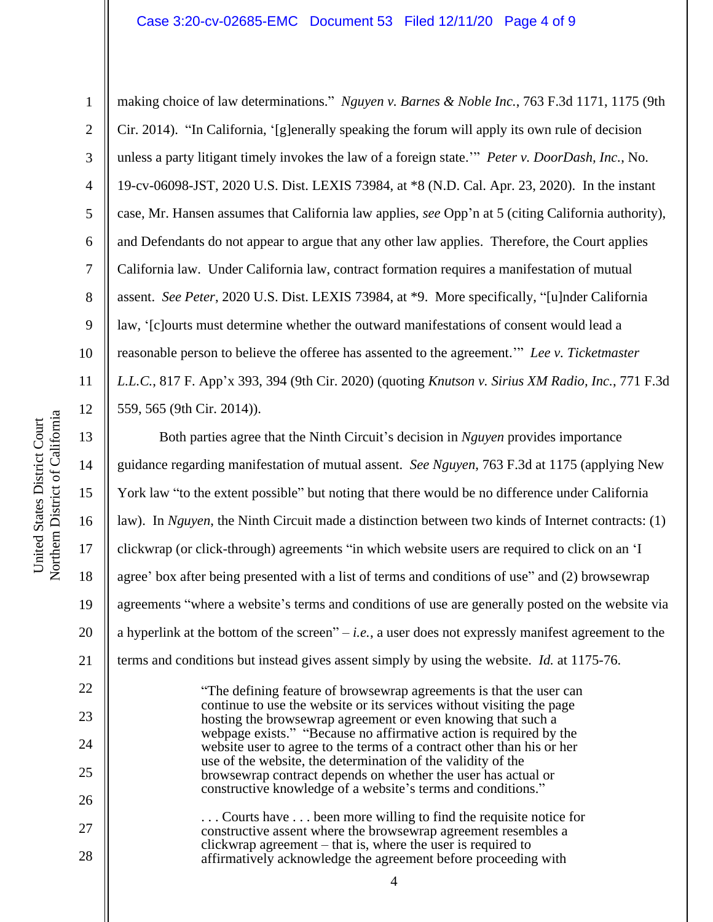#### Case 3:20-cv-02685-EMC Document 53 Filed 12/11/20 Page 4 of 9

making choice of law determinations." *Nguyen v. Barnes & Noble Inc.*, 763 F.3d 1171, 1175 (9th Cir. 2014). "In California, '[g]enerally speaking the forum will apply its own rule of decision unless a party litigant timely invokes the law of a foreign state.'" *Peter v. DoorDash, Inc.*, No. 19-cv-06098-JST, 2020 U.S. Dist. LEXIS 73984, at \*8 (N.D. Cal. Apr. 23, 2020). In the instant case, Mr. Hansen assumes that California law applies, *see* Opp'n at 5 (citing California authority), and Defendants do not appear to argue that any other law applies. Therefore, the Court applies California law. Under California law, contract formation requires a manifestation of mutual assent. *See Peter*, 2020 U.S. Dist. LEXIS 73984, at \*9. More specifically, "[u]nder California law, '[c]ourts must determine whether the outward manifestations of consent would lead a reasonable person to believe the offeree has assented to the agreement.'" *Lee v. Ticketmaster L.L.C.*, 817 F. App'x 393, 394 (9th Cir. 2020) (quoting *Knutson v. Sirius XM Radio, Inc.*, 771 F.3d 559, 565 (9th Cir. 2014)).

Both parties agree that the Ninth Circuit's decision in *Nguyen* provides importance guidance regarding manifestation of mutual assent. *See Nguyen*, 763 F.3d at 1175 (applying New York law "to the extent possible" but noting that there would be no difference under California law). In *Nguyen*, the Ninth Circuit made a distinction between two kinds of Internet contracts: (1) clickwrap (or click-through) agreements "in which website users are required to click on an 'I agree' box after being presented with a list of terms and conditions of use" and (2) browsewrap agreements "where a website's terms and conditions of use are generally posted on the website via a hyperlink at the bottom of the screen" – *i.e.*, a user does not expressly manifest agreement to the terms and conditions but instead gives assent simply by using the website. *Id.* at 1175-76.

> "The defining feature of browsewrap agreements is that the user can continue to use the website or its services without visiting the page hosting the browsewrap agreement or even knowing that such a webpage exists." "Because no affirmative action is required by the website user to agree to the terms of a contract other than his or her use of the website, the determination of the validity of the browsewrap contract depends on whether the user has actual or constructive knowledge of a website's terms and conditions."

. . . Courts have . . . been more willing to find the requisite notice for constructive assent where the browsewrap agreement resembles a clickwrap agreement – that is, where the user is required to affirmatively acknowledge the agreement before proceeding with

4

1

2

3

4

5

6

7

8

9

10

11

12

13

14

15

16

17

18

19

20

21

22

23

24

25

26

27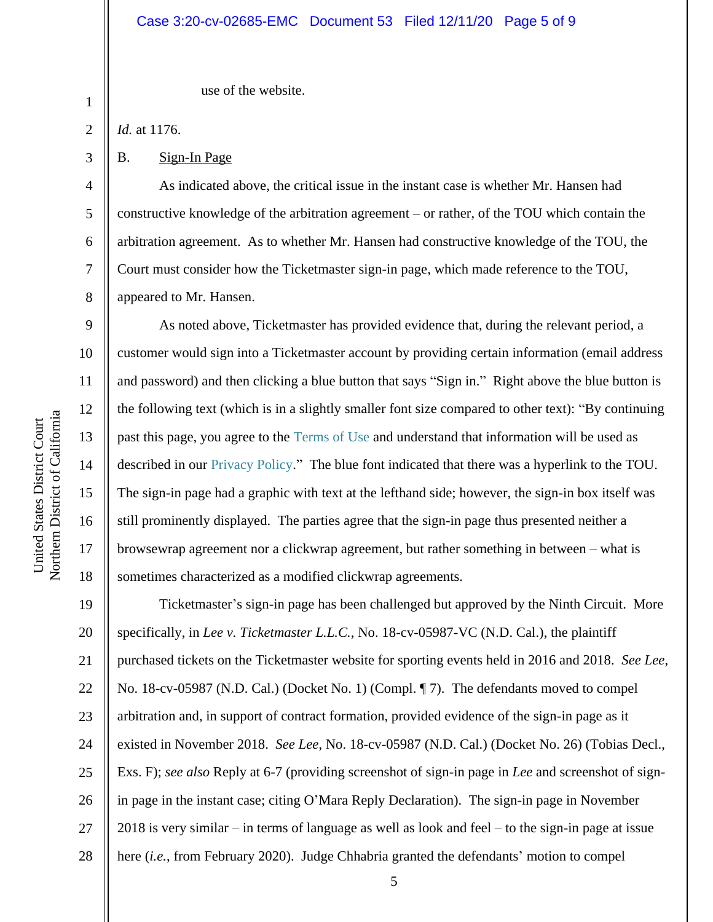#### Case 3:20-cv-02685-EMC Document 53 Filed 12/11/20 Page 5 of 9

use of the website.

1 2

3

4

5

6

7

8

9

10

11

12

13

14

15

16

17

18

*Id.* at 1176.

B. Sign-In Page

As indicated above, the critical issue in the instant case is whether Mr. Hansen had constructive knowledge of the arbitration agreement – or rather, of the TOU which contain the arbitration agreement. As to whether Mr. Hansen had constructive knowledge of the TOU, the Court must consider how the Ticketmaster sign-in page, which made reference to the TOU, appeared to Mr. Hansen.

As noted above, Ticketmaster has provided evidence that, during the relevant period, a customer would sign into a Ticketmaster account by providing certain information (email address and password) and then clicking a blue button that says "Sign in." Right above the blue button is the following text (which is in a slightly smaller font size compared to other text): "By continuing past this page, you agree to the Terms of Use and understand that information will be used as described in our Privacy Policy." The blue font indicated that there was a hyperlink to the TOU. The sign-in page had a graphic with text at the lefthand side; however, the sign-in box itself was still prominently displayed. The parties agree that the sign-in page thus presented neither a browsewrap agreement nor a clickwrap agreement, but rather something in between – what is sometimes characterized as a modified clickwrap agreements.

19 20 21 22 23 24 25 26 27 28 Ticketmaster's sign-in page has been challenged but approved by the Ninth Circuit. More specifically, in *Lee v. Ticketmaster L.L.C.*, No. 18-cv-05987-VC (N.D. Cal.), the plaintiff purchased tickets on the Ticketmaster website for sporting events held in 2016 and 2018. *See Lee*, No. 18-cv-05987 (N.D. Cal.) (Docket No. 1) (Compl. ¶ 7). The defendants moved to compel arbitration and, in support of contract formation, provided evidence of the sign-in page as it existed in November 2018. *See Lee*, No. 18-cv-05987 (N.D. Cal.) (Docket No. 26) (Tobias Decl., Exs. F); *see also* Reply at 6-7 (providing screenshot of sign-in page in *Lee* and screenshot of signin page in the instant case; citing O'Mara Reply Declaration). The sign-in page in November 2018 is very similar – in terms of language as well as look and feel – to the sign-in page at issue here (*i.e.*, from February 2020). Judge Chhabria granted the defendants' motion to compel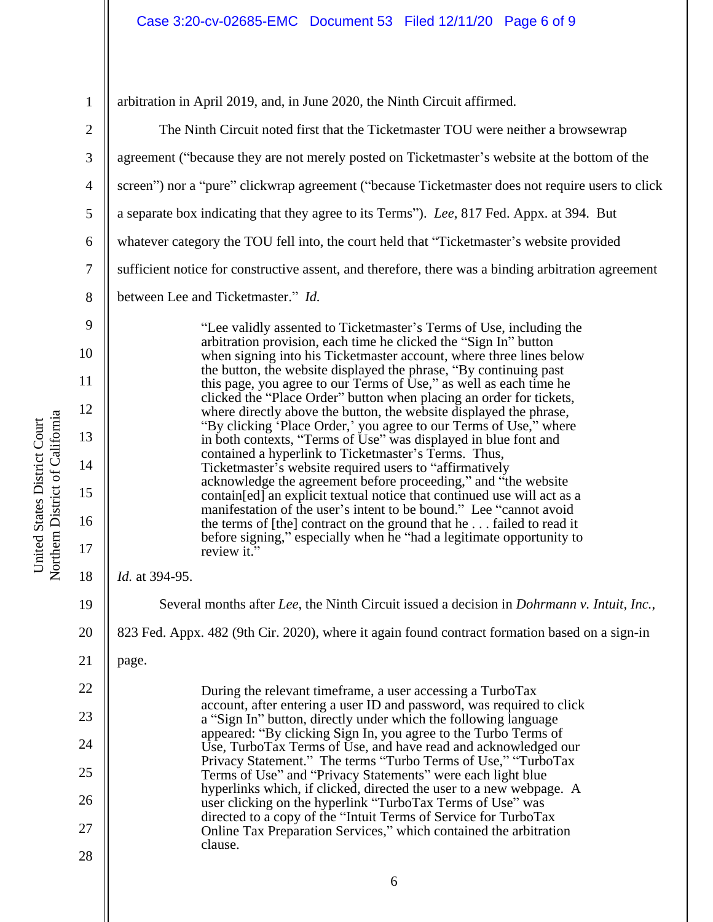1

arbitration in April 2019, and, in June 2020, the Ninth Circuit affirmed.

2 3 4 5 6 7 8 9 10 11 12 13 14 15 16 17 18 19 20 21 22 23 24 25 26 27 28 The Ninth Circuit noted first that the Ticketmaster TOU were neither a browsewrap agreement ("because they are not merely posted on Ticketmaster's website at the bottom of the screen") nor a "pure" clickwrap agreement ("because Ticketmaster does not require users to click a separate box indicating that they agree to its Terms"). *Lee*, 817 Fed. Appx. at 394. But whatever category the TOU fell into, the court held that "Ticketmaster's website provided sufficient notice for constructive assent, and therefore, there was a binding arbitration agreement between Lee and Ticketmaster." *Id.* "Lee validly assented to Ticketmaster's Terms of Use, including the arbitration provision, each time he clicked the "Sign In" button when signing into his Ticketmaster account, where three lines below the button, the website displayed the phrase, "By continuing past this page, you agree to our Terms of Use," as well as each time he clicked the "Place Order" button when placing an order for tickets, where directly above the button, the website displayed the phrase, "By clicking 'Place Order,' you agree to our Terms of Use," where in both contexts, "Terms of Use" was displayed in blue font and contained a hyperlink to Ticketmaster's Terms. Thus, Ticketmaster's website required users to "affirmatively acknowledge the agreement before proceeding," and "the website contain[ed] an explicit textual notice that continued use will act as a manifestation of the user's intent to be bound." Lee "cannot avoid the terms of [the] contract on the ground that he . . . failed to read it before signing," especially when he "had a legitimate opportunity to review it." *Id.* at 394-95. Several months after *Lee*, the Ninth Circuit issued a decision in *Dohrmann v. Intuit, Inc.*, 823 Fed. Appx. 482 (9th Cir. 2020), where it again found contract formation based on a sign-in page. During the relevant timeframe, a user accessing a TurboTax account, after entering a user ID and password, was required to click a "Sign In" button, directly under which the following language appeared: "By clicking Sign In, you agree to the Turbo Terms of Use, TurboTax Terms of Use, and have read and acknowledged our Privacy Statement." The terms "Turbo Terms of Use," "TurboTax Terms of Use" and "Privacy Statements" were each light blue hyperlinks which, if clicked, directed the user to a new webpage. A user clicking on the hyperlink "TurboTax Terms of Use" was directed to a copy of the "Intuit Terms of Service for TurboTax Online Tax Preparation Services," which contained the arbitration clause.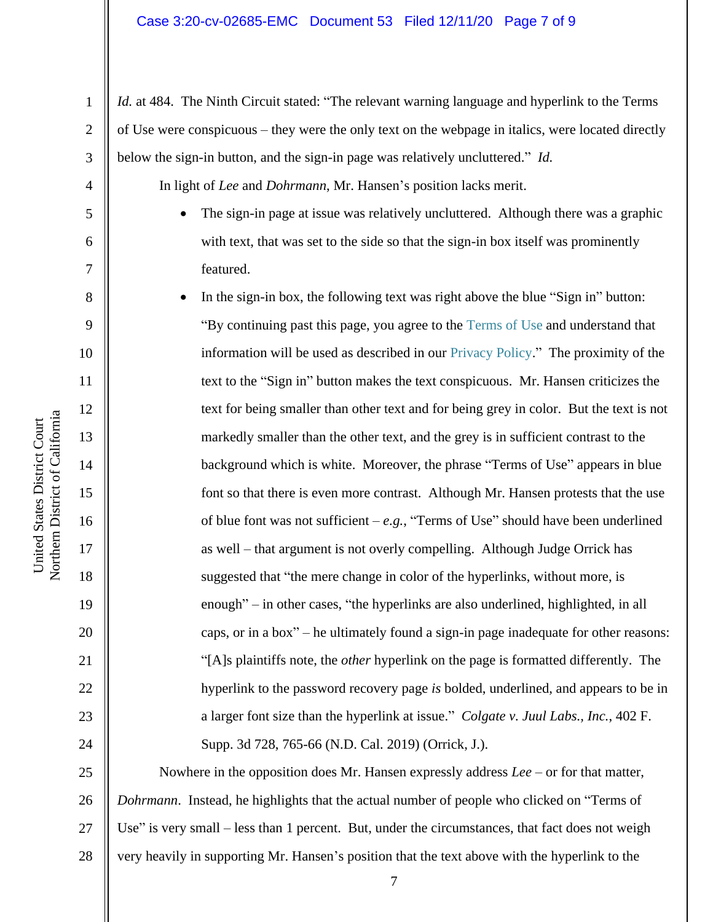#### Case 3:20-cv-02685-EMC Document 53 Filed 12/11/20 Page 7 of 9

*Id.* at 484. The Ninth Circuit stated: "The relevant warning language and hyperlink to the Terms of Use were conspicuous – they were the only text on the webpage in italics, were located directly below the sign-in button, and the sign-in page was relatively uncluttered." *Id.*

In light of *Lee* and *Dohrmann*, Mr. Hansen's position lacks merit.

• The sign-in page at issue was relatively uncluttered. Although there was a graphic with text, that was set to the side so that the sign-in box itself was prominently featured.

• In the sign-in box, the following text was right above the blue "Sign in" button: "By continuing past this page, you agree to the Terms of Use and understand that information will be used as described in our Privacy Policy." The proximity of the text to the "Sign in" button makes the text conspicuous. Mr. Hansen criticizes the text for being smaller than other text and for being grey in color. But the text is not markedly smaller than the other text, and the grey is in sufficient contrast to the background which is white. Moreover, the phrase "Terms of Use" appears in blue font so that there is even more contrast. Although Mr. Hansen protests that the use of blue font was not sufficient –  $e.g.,$  "Terms of Use" should have been underlined as well – that argument is not overly compelling. Although Judge Orrick has suggested that "the mere change in color of the hyperlinks, without more, is enough" – in other cases, "the hyperlinks are also underlined, highlighted, in all caps, or in a box" – he ultimately found a sign-in page inadequate for other reasons: "[A]s plaintiffs note, the *other* hyperlink on the page is formatted differently. The hyperlink to the password recovery page *is* bolded, underlined, and appears to be in a larger font size than the hyperlink at issue." *Colgate v. Juul Labs., Inc.*, 402 F. Supp. 3d 728, 765-66 (N.D. Cal. 2019) (Orrick, J.).

25 26 27 28 Nowhere in the opposition does Mr. Hansen expressly address *Lee* – or for that matter, *Dohrmann*. Instead, he highlights that the actual number of people who clicked on "Terms of Use" is very small – less than 1 percent. But, under the circumstances, that fact does not weigh very heavily in supporting Mr. Hansen's position that the text above with the hyperlink to the

1

2

3

4

5

6

7

8

9

10

11

12

13

14

15

16

17

18

19

20

21

22

23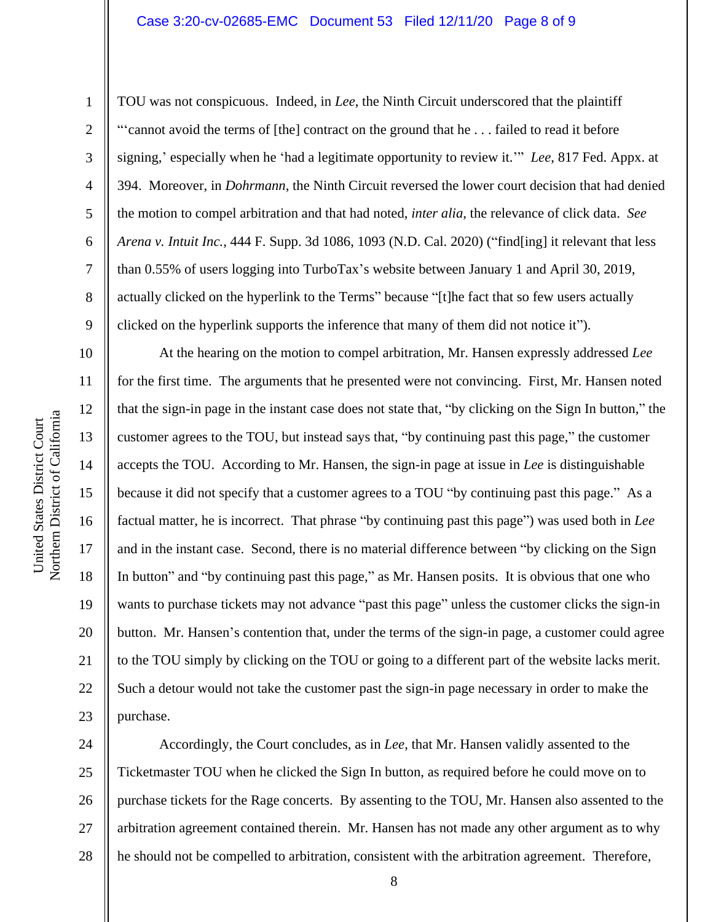#### Case 3:20-cv-02685-EMC Document 53 Filed 12/11/20 Page 8 of 9

1

2

3

4

5

6

7

8

9

10

11

12

13

14

15

16

17

18

19

20

21

22

23

TOU was not conspicuous. Indeed, in *Lee*, the Ninth Circuit underscored that the plaintiff "'cannot avoid the terms of [the] contract on the ground that he . . . failed to read it before signing,' especially when he 'had a legitimate opportunity to review it.'" *Lee*, 817 Fed. Appx. at 394. Moreover, in *Dohrmann*, the Ninth Circuit reversed the lower court decision that had denied the motion to compel arbitration and that had noted, *inter alia*, the relevance of click data. *See Arena v. Intuit Inc.*, 444 F. Supp. 3d 1086, 1093 (N.D. Cal. 2020) ("find[ing] it relevant that less than 0.55% of users logging into TurboTax's website between January 1 and April 30, 2019, actually clicked on the hyperlink to the Terms" because "[t]he fact that so few users actually clicked on the hyperlink supports the inference that many of them did not notice it").

At the hearing on the motion to compel arbitration, Mr. Hansen expressly addressed *Lee* for the first time. The arguments that he presented were not convincing. First, Mr. Hansen noted that the sign-in page in the instant case does not state that, "by clicking on the Sign In button," the customer agrees to the TOU, but instead says that, "by continuing past this page," the customer accepts the TOU. According to Mr. Hansen, the sign-in page at issue in *Lee* is distinguishable because it did not specify that a customer agrees to a TOU "by continuing past this page." As a factual matter, he is incorrect. That phrase "by continuing past this page") was used both in *Lee* and in the instant case. Second, there is no material difference between "by clicking on the Sign In button" and "by continuing past this page," as Mr. Hansen posits. It is obvious that one who wants to purchase tickets may not advance "past this page" unless the customer clicks the sign-in button. Mr. Hansen's contention that, under the terms of the sign-in page, a customer could agree to the TOU simply by clicking on the TOU or going to a different part of the website lacks merit. Such a detour would not take the customer past the sign-in page necessary in order to make the purchase.

24 25 26 27 28 Accordingly, the Court concludes, as in *Lee*, that Mr. Hansen validly assented to the Ticketmaster TOU when he clicked the Sign In button, as required before he could move on to purchase tickets for the Rage concerts. By assenting to the TOU, Mr. Hansen also assented to the arbitration agreement contained therein. Mr. Hansen has not made any other argument as to why he should not be compelled to arbitration, consistent with the arbitration agreement. Therefore,